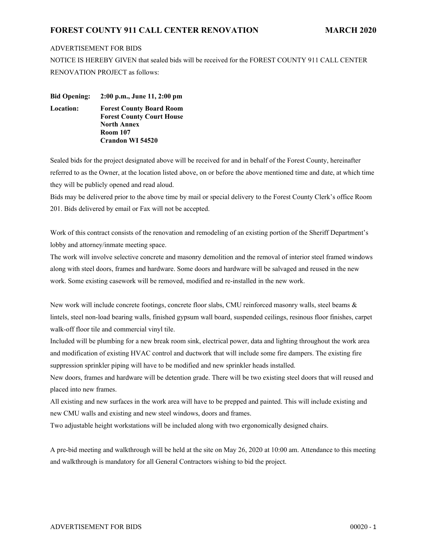## **FOREST COUNTY 911 CALL CENTER RENOVATION MARCH 2020**

## ADVERTISEMENT FOR BIDS

NOTICE IS HEREBY GIVEN that sealed bids will be received for the FOREST COUNTY 911 CALL CENTER RENOVATION PROJECT as follows:

**Bid Opening: 2:00 p.m., June 11, 2:00 pm Location: Forest County Board Room Forest County Court House North Annex Room 107 Crandon WI 54520** 

Sealed bids for the project designated above will be received for and in behalf of the Forest County, hereinafter referred to as the Owner, at the location listed above, on or before the above mentioned time and date, at which time they will be publicly opened and read aloud.

Bids may be delivered prior to the above time by mail or special delivery to the Forest County Clerk's office Room 201. Bids delivered by email or Fax will not be accepted.

Work of this contract consists of the renovation and remodeling of an existing portion of the Sheriff Department's lobby and attorney/inmate meeting space.

The work will involve selective concrete and masonry demolition and the removal of interior steel framed windows along with steel doors, frames and hardware. Some doors and hardware will be salvaged and reused in the new work. Some existing casework will be removed, modified and re-installed in the new work.

New work will include concrete footings, concrete floor slabs, CMU reinforced masonry walls, steel beams & lintels, steel non-load bearing walls, finished gypsum wall board, suspended ceilings, resinous floor finishes, carpet walk-off floor tile and commercial vinyl tile.

Included will be plumbing for a new break room sink, electrical power, data and lighting throughout the work area and modification of existing HVAC control and ductwork that will include some fire dampers. The existing fire suppression sprinkler piping will have to be modified and new sprinkler heads installed.

New doors, frames and hardware will be detention grade. There will be two existing steel doors that will reused and placed into new frames.

All existing and new surfaces in the work area will have to be prepped and painted. This will include existing and new CMU walls and existing and new steel windows, doors and frames.

Two adjustable height workstations will be included along with two ergonomically designed chairs.

A pre-bid meeting and walkthrough will be held at the site on May 26, 2020 at 10:00 am. Attendance to this meeting and walkthrough is mandatory for all General Contractors wishing to bid the project.